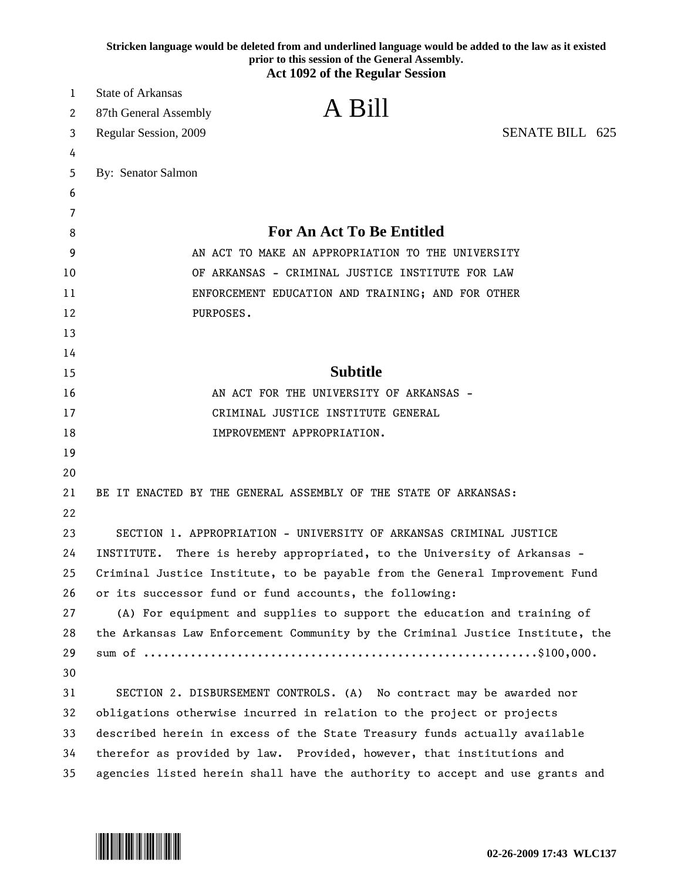|    | Stricken language would be deleted from and underlined language would be added to the law as it existed<br>prior to this session of the General Assembly.<br><b>Act 1092 of the Regular Session</b> |  |
|----|-----------------------------------------------------------------------------------------------------------------------------------------------------------------------------------------------------|--|
| 1  | <b>State of Arkansas</b>                                                                                                                                                                            |  |
| 2  | A Bill<br>87th General Assembly                                                                                                                                                                     |  |
| 3  | <b>SENATE BILL 625</b><br>Regular Session, 2009                                                                                                                                                     |  |
| 4  |                                                                                                                                                                                                     |  |
| 5  | By: Senator Salmon                                                                                                                                                                                  |  |
| 6  |                                                                                                                                                                                                     |  |
| 7  |                                                                                                                                                                                                     |  |
| 8  | <b>For An Act To Be Entitled</b>                                                                                                                                                                    |  |
| 9  | AN ACT TO MAKE AN APPROPRIATION TO THE UNIVERSITY                                                                                                                                                   |  |
| 10 | OF ARKANSAS - CRIMINAL JUSTICE INSTITUTE FOR LAW                                                                                                                                                    |  |
| 11 | ENFORCEMENT EDUCATION AND TRAINING; AND FOR OTHER                                                                                                                                                   |  |
| 12 | PURPOSES.                                                                                                                                                                                           |  |
| 13 |                                                                                                                                                                                                     |  |
| 14 |                                                                                                                                                                                                     |  |
| 15 | <b>Subtitle</b>                                                                                                                                                                                     |  |
| 16 | AN ACT FOR THE UNIVERSITY OF ARKANSAS -                                                                                                                                                             |  |
| 17 | CRIMINAL JUSTICE INSTITUTE GENERAL                                                                                                                                                                  |  |
| 18 | IMPROVEMENT APPROPRIATION.                                                                                                                                                                          |  |
| 19 |                                                                                                                                                                                                     |  |
| 20 |                                                                                                                                                                                                     |  |
| 21 | BE IT ENACTED BY THE GENERAL ASSEMBLY OF THE STATE OF ARKANSAS:                                                                                                                                     |  |
| 22 |                                                                                                                                                                                                     |  |
| 23 | SECTION 1. APPROPRIATION - UNIVERSITY OF ARKANSAS CRIMINAL JUSTICE                                                                                                                                  |  |
| 24 | INSTITUTE. There is hereby appropriated, to the University of Arkansas -                                                                                                                            |  |
| 25 | Criminal Justice Institute, to be payable from the General Improvement Fund                                                                                                                         |  |
| 26 | or its successor fund or fund accounts, the following:                                                                                                                                              |  |
| 27 | (A) For equipment and supplies to support the education and training of                                                                                                                             |  |
| 28 | the Arkansas Law Enforcement Community by the Criminal Justice Institute, the                                                                                                                       |  |
| 29 |                                                                                                                                                                                                     |  |
| 30 |                                                                                                                                                                                                     |  |
| 31 | SECTION 2. DISBURSEMENT CONTROLS. (A) No contract may be awarded nor                                                                                                                                |  |
| 32 | obligations otherwise incurred in relation to the project or projects                                                                                                                               |  |
| 33 | described herein in excess of the State Treasury funds actually available                                                                                                                           |  |
| 34 | therefor as provided by law. Provided, however, that institutions and                                                                                                                               |  |
| 35 | agencies listed herein shall have the authority to accept and use grants and                                                                                                                        |  |